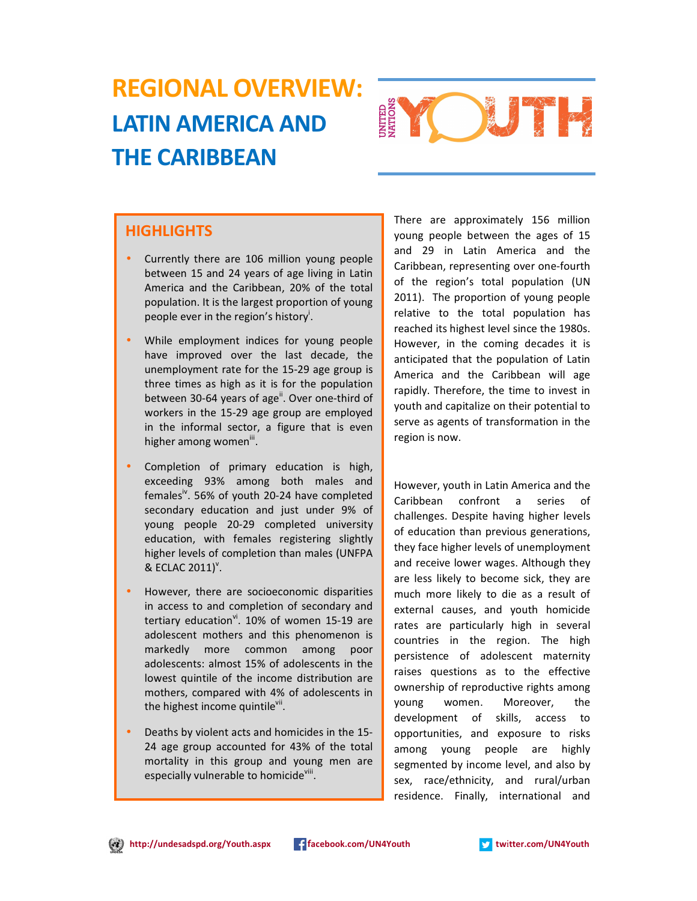# REGIONAL OVERVIEW: LATIN AMERICA AND THE CARIBBEAN



# **HIGHLIGHTS**

- Currently there are 106 million young people between 15 and 24 years of age living in Latin America and the Caribbean, 20% of the total population. It is the largest proportion of young .<br>people ever in the region's history<sup>i</sup>.
- While employment indices for young people have improved over the last decade, the unemployment rate for the 15-29 age group is three times as high as it is for the population between 30-64 years of age<sup>ii</sup>. Over one-third of workers in the 15-29 age group are employed in the informal sector, a figure that is even higher among women<sup>iii</sup>.
- Completion of primary education is high, exceeding 93% among both males and females<sup>iv</sup>. 56% of youth 20-24 have completed secondary education and just under 9% of young people 20-29 completed university education, with females registering slightly higher levels of completion than males (UNFPA  $&$  ECLAC 2011)<sup>v</sup>.
- However, there are socioeconomic disparities in access to and completion of secondary and tertiary education $v^i$ . 10% of women 15-19 are adolescent mothers and this phenomenon is markedly more common among poor adolescents: almost 15% of adolescents in the lowest quintile of the income distribution are mothers, compared with 4% of adolescents in the highest income quintile<sup>vii</sup>.
- Deaths by violent acts and homicides in the 15- 24 age group accounted for 43% of the total mortality in this group and young men are especially vulnerable to homicideville

There are approximately 156 million young people between the ages of 15 and 29 in Latin America and the Caribbean, representing over one-fourth of the region's total population (UN 2011). The proportion of young people relative to the total population has reached its highest level since the 1980s. However, in the coming decades it is anticipated that the population of Latin America and the Caribbean will age rapidly. Therefore, the time to invest in youth and capitalize on their potential to serve as agents of transformation in the region is now.

However, youth in Latin America and the Caribbean confront a series of challenges. Despite having higher levels of education than previous generations, they face higher levels of unemployment and receive lower wages. Although they are less likely to become sick, they are much more likely to die as a result of external causes, and youth homicide rates are particularly high in several countries in the region. The high persistence of adolescent maternity raises questions as to the effective ownership of reproductive rights among young women. Moreover, the development of skills, access to opportunities, and exposure to risks among young people are highly segmented by income level, and also by sex, race/ethnicity, and rural/urban residence. Finally, international and

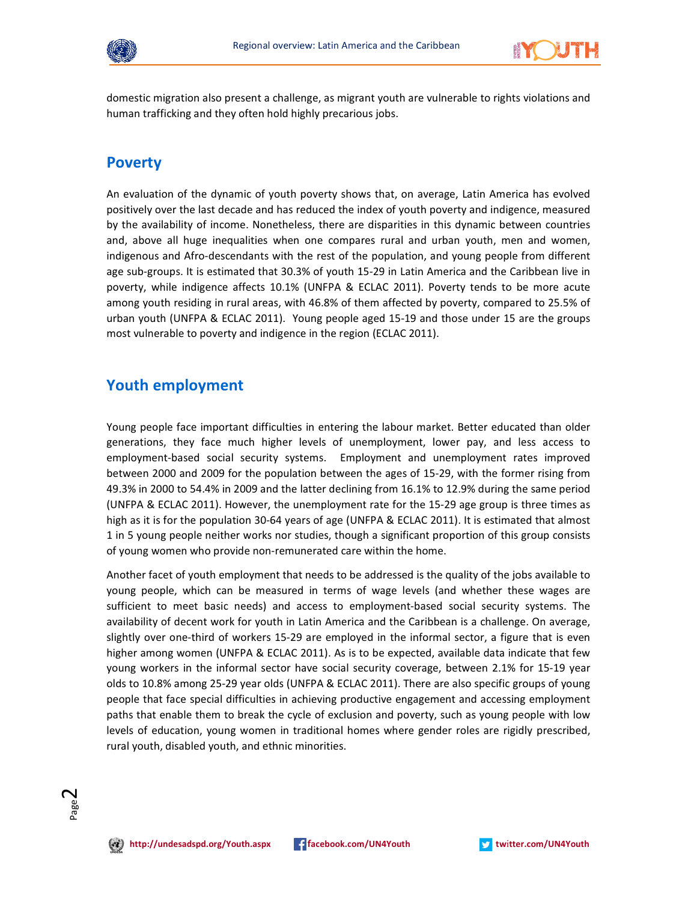



domestic migration also present a challenge, as migrant youth are vulnerable to rights violations and human trafficking and they often hold highly precarious jobs.

#### Poverty

An evaluation of the dynamic of youth poverty shows that, on average, Latin America has evolved positively over the last decade and has reduced the index of youth poverty and indigence, measured by the availability of income. Nonetheless, there are disparities in this dynamic between countries and, above all huge inequalities when one compares rural and urban youth, men and women, indigenous and Afro-descendants with the rest of the population, and young people from different age sub-groups. It is estimated that 30.3% of youth 15-29 in Latin America and the Caribbean live in poverty, while indigence affects 10.1% (UNFPA & ECLAC 2011). Poverty tends to be more acute among youth residing in rural areas, with 46.8% of them affected by poverty, compared to 25.5% of urban youth (UNFPA & ECLAC 2011). Young people aged 15-19 and those under 15 are the groups most vulnerable to poverty and indigence in the region (ECLAC 2011).

#### Youth employment

Young people face important difficulties in entering the labour market. Better educated than older generations, they face much higher levels of unemployment, lower pay, and less access to employment-based social security systems. Employment and unemployment rates improved between 2000 and 2009 for the population between the ages of 15-29, with the former rising from 49.3% in 2000 to 54.4% in 2009 and the latter declining from 16.1% to 12.9% during the same period (UNFPA & ECLAC 2011). However, the unemployment rate for the 15-29 age group is three times as high as it is for the population 30-64 years of age (UNFPA & ECLAC 2011). It is estimated that almost 1 in 5 young people neither works nor studies, though a significant proportion of this group consists of young women who provide non-remunerated care within the home.

Another facet of youth employment that needs to be addressed is the quality of the jobs available to young people, which can be measured in terms of wage levels (and whether these wages are sufficient to meet basic needs) and access to employment-based social security systems. The availability of decent work for youth in Latin America and the Caribbean is a challenge. On average, slightly over one-third of workers 15-29 are employed in the informal sector, a figure that is even higher among women (UNFPA & ECLAC 2011). As is to be expected, available data indicate that few young workers in the informal sector have social security coverage, between 2.1% for 15-19 year olds to 10.8% among 25-29 year olds (UNFPA & ECLAC 2011). There are also specific groups of young people that face special difficulties in achieving productive engagement and accessing employment paths that enable them to break the cycle of exclusion and poverty, such as young people with low levels of education, young women in traditional homes where gender roles are rigidly prescribed, rural youth, disabled youth, and ethnic minorities.



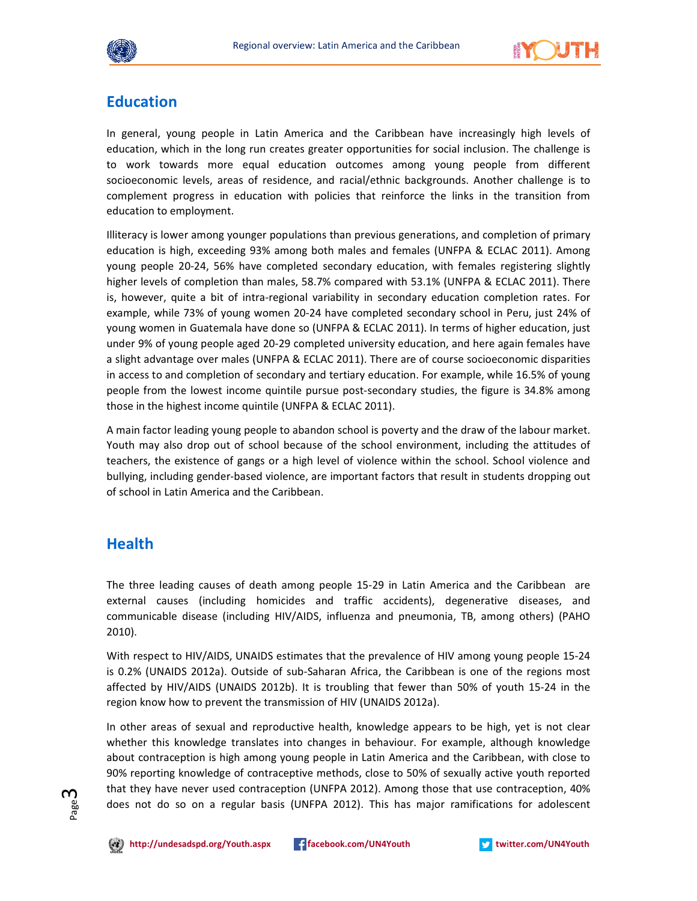



#### **Education**

In general, young people in Latin America and the Caribbean have increasingly high levels of education, which in the long run creates greater opportunities for social inclusion. The challenge is to work towards more equal education outcomes among young people from different socioeconomic levels, areas of residence, and racial/ethnic backgrounds. Another challenge is to complement progress in education with policies that reinforce the links in the transition from education to employment.

Illiteracy is lower among younger populations than previous generations, and completion of primary education is high, exceeding 93% among both males and females (UNFPA & ECLAC 2011). Among young people 20-24, 56% have completed secondary education, with females registering slightly higher levels of completion than males, 58.7% compared with 53.1% (UNFPA & ECLAC 2011). There is, however, quite a bit of intra-regional variability in secondary education completion rates. For example, while 73% of young women 20-24 have completed secondary school in Peru, just 24% of young women in Guatemala have done so (UNFPA & ECLAC 2011). In terms of higher education, just under 9% of young people aged 20-29 completed university education, and here again females have a slight advantage over males (UNFPA & ECLAC 2011). There are of course socioeconomic disparities in access to and completion of secondary and tertiary education. For example, while 16.5% of young people from the lowest income quintile pursue post-secondary studies, the figure is 34.8% among those in the highest income quintile (UNFPA & ECLAC 2011).

A main factor leading young people to abandon school is poverty and the draw of the labour market. Youth may also drop out of school because of the school environment, including the attitudes of teachers, the existence of gangs or a high level of violence within the school. School violence and bullying, including gender-based violence, are important factors that result in students dropping out of school in Latin America and the Caribbean.

# Health

The three leading causes of death among people 15-29 in Latin America and the Caribbean are external causes (including homicides and traffic accidents), degenerative diseases, and communicable disease (including HIV/AIDS, influenza and pneumonia, TB, among others) (PAHO 2010).

With respect to HIV/AIDS, UNAIDS estimates that the prevalence of HIV among young people 15-24 is 0.2% (UNAIDS 2012a). Outside of sub-Saharan Africa, the Caribbean is one of the regions most affected by HIV/AIDS (UNAIDS 2012b). It is troubling that fewer than 50% of youth 15-24 in the region know how to prevent the transmission of HIV (UNAIDS 2012a).

In other areas of sexual and reproductive health, knowledge appears to be high, yet is not clear whether this knowledge translates into changes in behaviour. For example, although knowledge about contraception is high among young people in Latin America and the Caribbean, with close to 90% reporting knowledge of contraceptive methods, close to 50% of sexually active youth reported that they have never used contraception (UNFPA 2012). Among those that use contraception, 40% does not do so on a regular basis (UNFPA 2012). This has major ramifications for adolescent



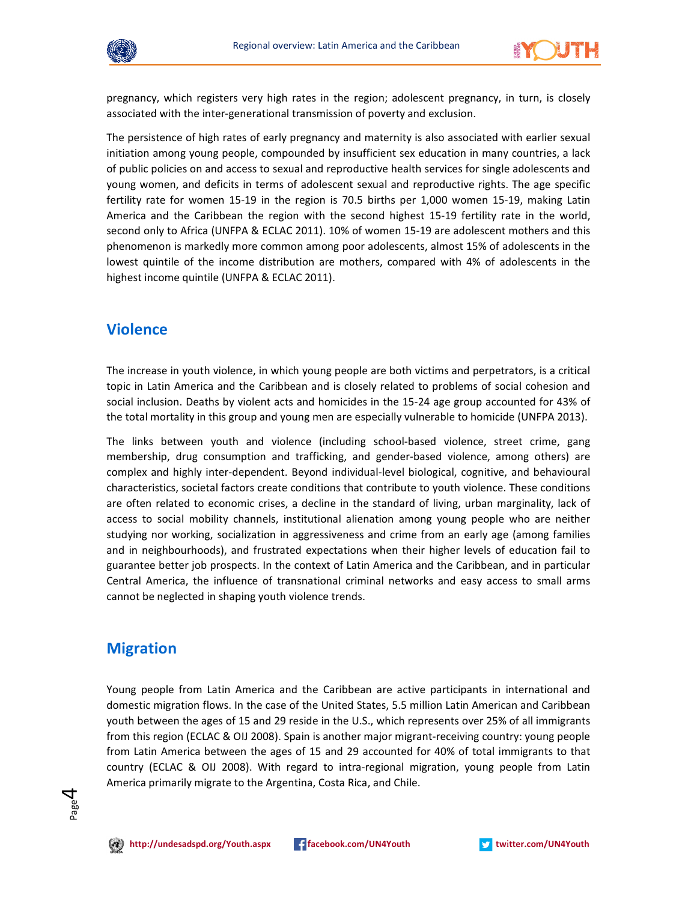



pregnancy, which registers very high rates in the region; adolescent pregnancy, in turn, is closely associated with the inter-generational transmission of poverty and exclusion.

The persistence of high rates of early pregnancy and maternity is also associated with earlier sexual initiation among young people, compounded by insufficient sex education in many countries, a lack of public policies on and access to sexual and reproductive health services for single adolescents and young women, and deficits in terms of adolescent sexual and reproductive rights. The age specific fertility rate for women 15-19 in the region is 70.5 births per 1,000 women 15-19, making Latin America and the Caribbean the region with the second highest 15-19 fertility rate in the world, second only to Africa (UNFPA & ECLAC 2011). 10% of women 15-19 are adolescent mothers and this phenomenon is markedly more common among poor adolescents, almost 15% of adolescents in the lowest quintile of the income distribution are mothers, compared with 4% of adolescents in the highest income quintile (UNFPA & ECLAC 2011).

#### Violence

The increase in youth violence, in which young people are both victims and perpetrators, is a critical topic in Latin America and the Caribbean and is closely related to problems of social cohesion and social inclusion. Deaths by violent acts and homicides in the 15-24 age group accounted for 43% of the total mortality in this group and young men are especially vulnerable to homicide (UNFPA 2013).

The links between youth and violence (including school-based violence, street crime, gang membership, drug consumption and trafficking, and gender-based violence, among others) are complex and highly inter-dependent. Beyond individual-level biological, cognitive, and behavioural characteristics, societal factors create conditions that contribute to youth violence. These conditions are often related to economic crises, a decline in the standard of living, urban marginality, lack of access to social mobility channels, institutional alienation among young people who are neither studying nor working, socialization in aggressiveness and crime from an early age (among families and in neighbourhoods), and frustrated expectations when their higher levels of education fail to guarantee better job prospects. In the context of Latin America and the Caribbean, and in particular Central America, the influence of transnational criminal networks and easy access to small arms cannot be neglected in shaping youth violence trends.

#### Migration

Young people from Latin America and the Caribbean are active participants in international and domestic migration flows. In the case of the United States, 5.5 million Latin American and Caribbean youth between the ages of 15 and 29 reside in the U.S., which represents over 25% of all immigrants from this region (ECLAC & OIJ 2008). Spain is another major migrant-receiving country: young people from Latin America between the ages of 15 and 29 accounted for 40% of total immigrants to that country (ECLAC & OIJ 2008). With regard to intra-regional migration, young people from Latin America primarily migrate to the Argentina, Costa Rica, and Chile.



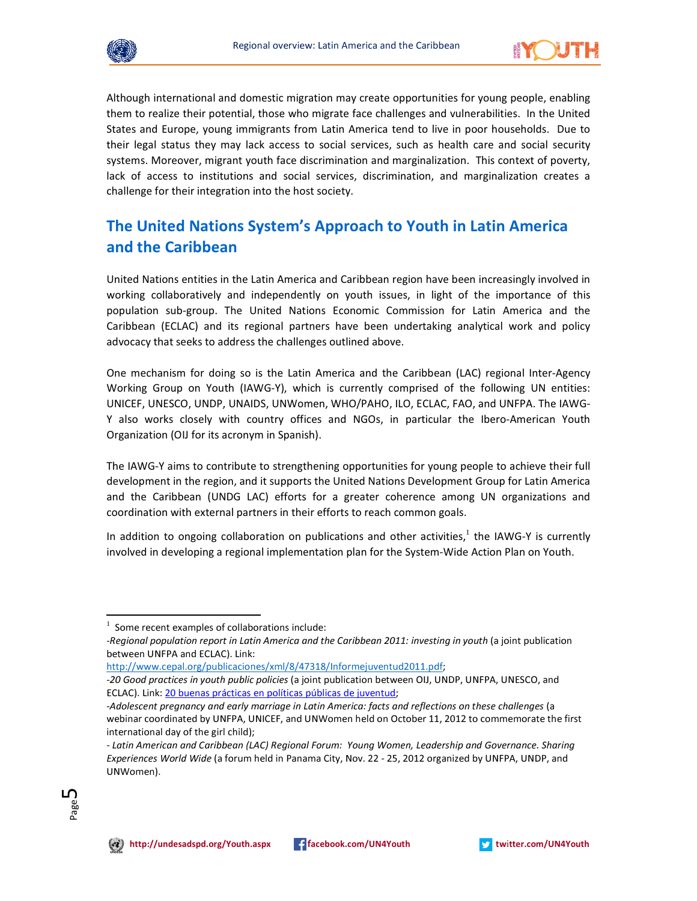



Although international and domestic migration may create opportunities for young people, enabling them to realize their potential, those who migrate face challenges and vulnerabilities. In the United States and Europe, young immigrants from Latin America tend to live in poor households. Due to their legal status they may lack access to social services, such as health care and social security systems. Moreover, migrant youth face discrimination and marginalization. This context of poverty, lack of access to institutions and social services, discrimination, and marginalization creates a challenge for their integration into the host society.

# The United Nations System's Approach to Youth in Latin America and the Caribbean

United Nations entities in the Latin America and Caribbean region have been increasingly involved in working collaboratively and independently on youth issues, in light of the importance of this population sub-group. The United Nations Economic Commission for Latin America and the Caribbean (ECLAC) and its regional partners have been undertaking analytical work and policy advocacy that seeks to address the challenges outlined above.

One mechanism for doing so is the Latin America and the Caribbean (LAC) regional Inter-Agency Working Group on Youth (IAWG-Y), which is currently comprised of the following UN entities: UNICEF, UNESCO, UNDP, UNAIDS, UNWomen, WHO/PAHO, ILO, ECLAC, FAO, and UNFPA. The IAWG-Y also works closely with country offices and NGOs, in particular the Ibero-American Youth Organization (OIJ for its acronym in Spanish).

The IAWG-Y aims to contribute to strengthening opportunities for young people to achieve their full development in the region, and it supports the United Nations Development Group for Latin America and the Caribbean (UNDG LAC) efforts for a greater coherence among UN organizations and coordination with external partners in their efforts to reach common goals.

In addition to ongoing collaboration on publications and other activities, $^{1}$  the IAWG-Y is currently involved in developing a regional implementation plan for the System-Wide Action Plan on Youth.

<sup>-</sup> Latin American and Caribbean (LAC) Regional Forum: Young Women, Leadership and Governance. Sharing Experiences World Wide (a forum held in Panama City, Nov. 22 - 25, 2012 organized by UNFPA, UNDP, and UNWomen).



 $\overline{a}$ 



 $1$  Some recent examples of collaborations include:

<sup>-</sup>Regional population report in Latin America and the Caribbean 2011: investing in youth (a joint publication between UNFPA and ECLAC). Link:

http://www.cepal.org/publicaciones/xml/8/47318/Informejuventud2011.pdf;

<sup>-20</sup> Good practices in youth public policies (a joint publication between OIJ, UNDP, UNFPA, UNESCO, and ECLAC). Link: 20 buenas prácticas en políticas públicas de juventud;

<sup>-</sup>Adolescent pregnancy and early marriage in Latin America: facts and reflections on these challenges (a webinar coordinated by UNFPA, UNICEF, and UNWomen held on October 11, 2012 to commemorate the first international day of the girl child);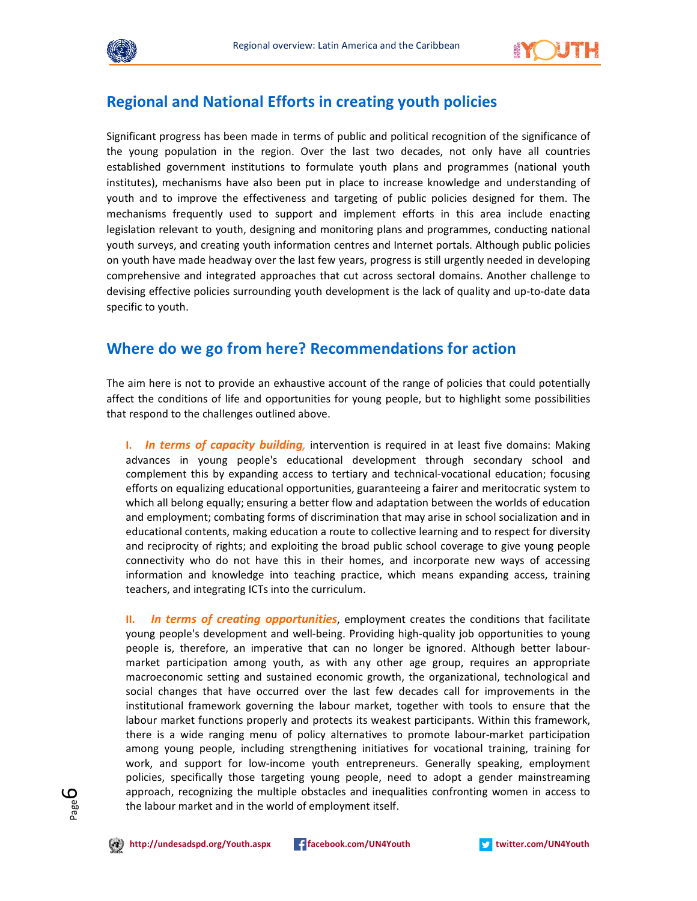



#### Regional and National Efforts in creating youth policies

Significant progress has been made in terms of public and political recognition of the significance of the young population in the region. Over the last two decades, not only have all countries established government institutions to formulate youth plans and programmes (national youth institutes), mechanisms have also been put in place to increase knowledge and understanding of youth and to improve the effectiveness and targeting of public policies designed for them. The mechanisms frequently used to support and implement efforts in this area include enacting legislation relevant to youth, designing and monitoring plans and programmes, conducting national youth surveys, and creating youth information centres and Internet portals. Although public policies on youth have made headway over the last few years, progress is still urgently needed in developing comprehensive and integrated approaches that cut across sectoral domains. Another challenge to devising effective policies surrounding youth development is the lack of quality and up-to-date data specific to youth.

# Where do we go from here? Recommendations for action

The aim here is not to provide an exhaustive account of the range of policies that could potentially affect the conditions of life and opportunities for young people, but to highlight some possibilities that respond to the challenges outlined above.

I. In terms of capacity building, intervention is required in at least five domains: Making advances in young people's educational development through secondary school and complement this by expanding access to tertiary and technical-vocational education; focusing efforts on equalizing educational opportunities, guaranteeing a fairer and meritocratic system to which all belong equally; ensuring a better flow and adaptation between the worlds of education and employment; combating forms of discrimination that may arise in school socialization and in educational contents, making education a route to collective learning and to respect for diversity and reciprocity of rights; and exploiting the broad public school coverage to give young people connectivity who do not have this in their homes, and incorporate new ways of accessing information and knowledge into teaching practice, which means expanding access, training teachers, and integrating ICTs into the curriculum.

II. In terms of creating opportunities, employment creates the conditions that facilitate young people's development and well-being. Providing high-quality job opportunities to young people is, therefore, an imperative that can no longer be ignored. Although better labourmarket participation among youth, as with any other age group, requires an appropriate macroeconomic setting and sustained economic growth, the organizational, technological and social changes that have occurred over the last few decades call for improvements in the institutional framework governing the labour market, together with tools to ensure that the labour market functions properly and protects its weakest participants. Within this framework, there is a wide ranging menu of policy alternatives to promote labour-market participation among young people, including strengthening initiatives for vocational training, training for work, and support for low-income youth entrepreneurs. Generally speaking, employment policies, specifically those targeting young people, need to adopt a gender mainstreaming approach, recognizing the multiple obstacles and inequalities confronting women in access to the labour market and in the world of employment itself.



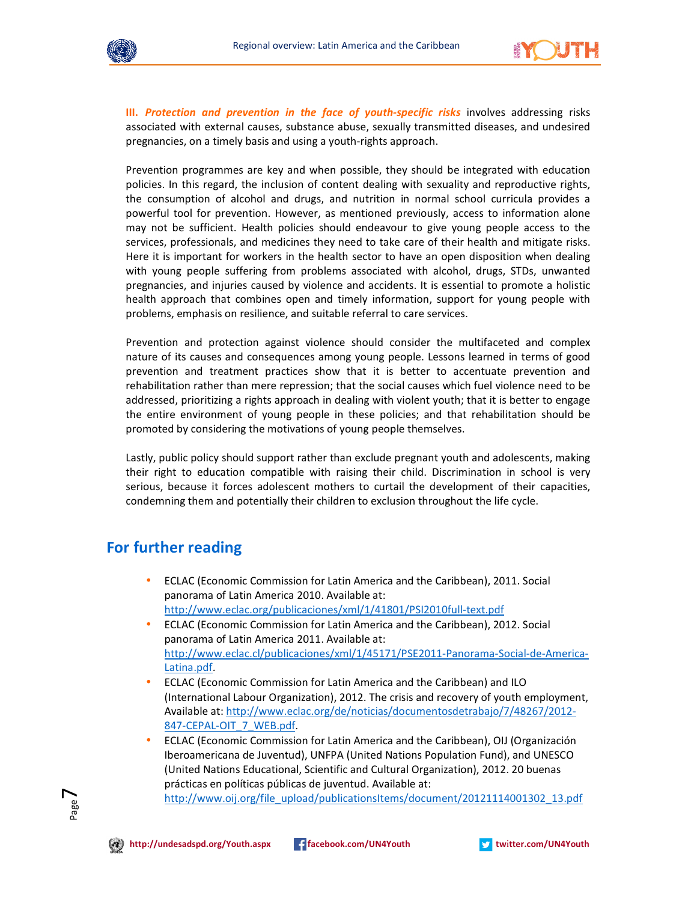



III. Protection and prevention in the face of youth-specific risks involves addressing risks associated with external causes, substance abuse, sexually transmitted diseases, and undesired pregnancies, on a timely basis and using a youth-rights approach.

Prevention programmes are key and when possible, they should be integrated with education policies. In this regard, the inclusion of content dealing with sexuality and reproductive rights, the consumption of alcohol and drugs, and nutrition in normal school curricula provides a powerful tool for prevention. However, as mentioned previously, access to information alone may not be sufficient. Health policies should endeavour to give young people access to the services, professionals, and medicines they need to take care of their health and mitigate risks. Here it is important for workers in the health sector to have an open disposition when dealing with young people suffering from problems associated with alcohol, drugs, STDs, unwanted pregnancies, and injuries caused by violence and accidents. It is essential to promote a holistic health approach that combines open and timely information, support for young people with problems, emphasis on resilience, and suitable referral to care services.

Prevention and protection against violence should consider the multifaceted and complex nature of its causes and consequences among young people. Lessons learned in terms of good prevention and treatment practices show that it is better to accentuate prevention and rehabilitation rather than mere repression; that the social causes which fuel violence need to be addressed, prioritizing a rights approach in dealing with violent youth; that it is better to engage the entire environment of young people in these policies; and that rehabilitation should be promoted by considering the motivations of young people themselves.

Lastly, public policy should support rather than exclude pregnant youth and adolescents, making their right to education compatible with raising their child. Discrimination in school is very serious, because it forces adolescent mothers to curtail the development of their capacities, condemning them and potentially their children to exclusion throughout the life cycle.

# For further reading

- ECLAC (Economic Commission for Latin America and the Caribbean), 2011. Social panorama of Latin America 2010. Available at: http://www.eclac.org/publicaciones/xml/1/41801/PSI2010full-text.pdf
- ECLAC (Economic Commission for Latin America and the Caribbean), 2012. Social panorama of Latin America 2011. Available at: http://www.eclac.cl/publicaciones/xml/1/45171/PSE2011-Panorama-Social-de-America-Latina.pdf.
- ECLAC (Economic Commission for Latin America and the Caribbean) and ILO (International Labour Organization), 2012. The crisis and recovery of youth employment, Available at: http://www.eclac.org/de/noticias/documentosdetrabajo/7/48267/2012- 847-CEPAL-OIT\_7\_WEB.pdf.
- ECLAC (Economic Commission for Latin America and the Caribbean), OIJ (Organización Iberoamericana de Juventud), UNFPA (United Nations Population Fund), and UNESCO (United Nations Educational, Scientific and Cultural Organization), 2012. 20 buenas prácticas en políticas públicas de juventud. Available at: http://www.oij.org/file\_upload/publicationsItems/document/20121114001302\_13.pdf

Page  $\overline{\phantom{a}}$ 

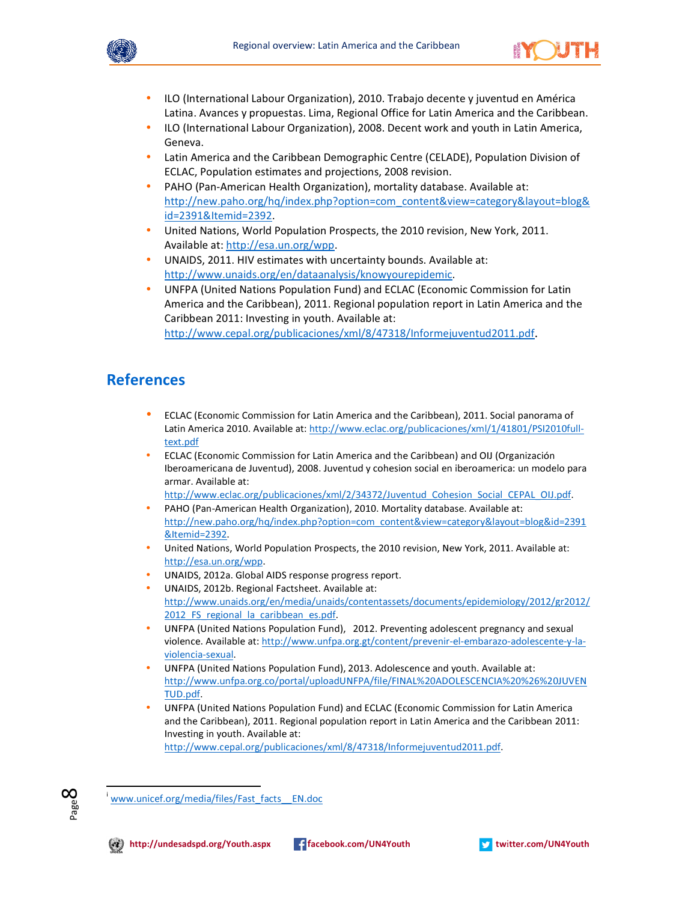



- ILO (International Labour Organization), 2010. Trabajo decente y juventud en América Latina. Avances y propuestas. Lima, Regional Office for Latin America and the Caribbean.
- ILO (International Labour Organization), 2008. Decent work and youth in Latin America, Geneva.
- Latin America and the Caribbean Demographic Centre (CELADE), Population Division of ECLAC, Population estimates and projections, 2008 revision.
- PAHO (Pan-American Health Organization), mortality database. Available at: http://new.paho.org/hq/index.php?option=com\_content&view=category&layout=blog& id=2391&Itemid=2392.
- United Nations, World Population Prospects, the 2010 revision, New York, 2011. Available at: http://esa.un.org/wpp.
- UNAIDS, 2011. HIV estimates with uncertainty bounds. Available at: http://www.unaids.org/en/dataanalysis/knowyourepidemic.
- UNFPA (United Nations Population Fund) and ECLAC (Economic Commission for Latin America and the Caribbean), 2011. Regional population report in Latin America and the Caribbean 2011: Investing in youth. Available at: http://www.cepal.org/publicaciones/xml/8/47318/Informejuventud2011.pdf.

# References

- ECLAC (Economic Commission for Latin America and the Caribbean), 2011. Social panorama of Latin America 2010. Available at: http://www.eclac.org/publicaciones/xml/1/41801/PSI2010fulltext.pdf
- ECLAC (Economic Commission for Latin America and the Caribbean) and OIJ (Organización Iberoamericana de Juventud), 2008. Juventud y cohesion social en iberoamerica: un modelo para armar. Available at:

```
http://www.eclac.org/publicaciones/xml/2/34372/Juventud_Cohesion_Social_CEPAL_OIJ.pdf.
```
- PAHO (Pan-American Health Organization), 2010. Mortality database. Available at: http://new.paho.org/hq/index.php?option=com\_content&view=category&layout=blog&id=2391 &Itemid=2392.
- United Nations, World Population Prospects, the 2010 revision, New York, 2011. Available at: http://esa.un.org/wpp.
- UNAIDS, 2012a. Global AIDS response progress report.
- UNAIDS, 2012b. Regional Factsheet. Available at: http://www.unaids.org/en/media/unaids/contentassets/documents/epidemiology/2012/gr2012/ 2012 FS regional la caribbean es.pdf.
- UNFPA (United Nations Population Fund), 2012. Preventing adolescent pregnancy and sexual violence. Available at: http://www.unfpa.org.gt/content/prevenir-el-embarazo-adolescente-y-laviolencia-sexual.
- UNFPA (United Nations Population Fund), 2013. Adolescence and youth. Available at: http://www.unfpa.org.co/portal/uploadUNFPA/file/FINAL%20ADOLESCENCIA%20%26%20JUVEN TUD.pdf.
- UNFPA (United Nations Population Fund) and ECLAC (Economic Commission for Latin America and the Caribbean), 2011. Regional population report in Latin America and the Caribbean 2011: Investing in youth. Available at:

http://www.cepal.org/publicaciones/xml/8/47318/Informejuventud2011.pdf.



 $\overline{a}$ 



www.unicef.org/media/files/Fast\_facts\_EN.doc